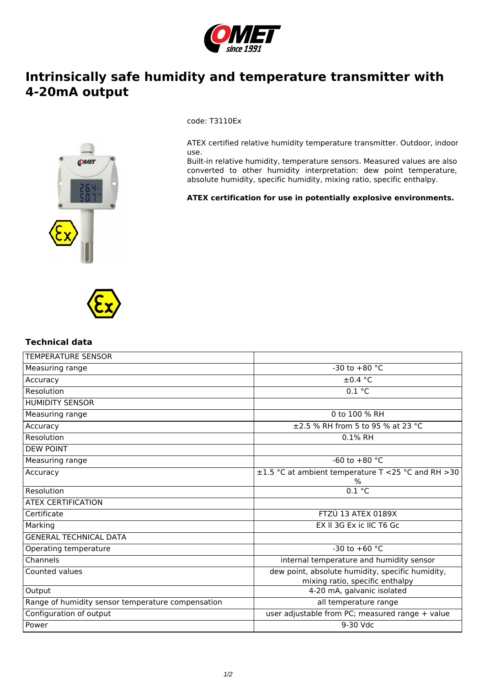

## **Intrinsically safe humidity and temperature transmitter with 4-20mA output**



code: T3110Ex

ATEX certified relative humidity temperature transmitter. Outdoor, indoor use.

Built-in relative humidity, temperature sensors. Measured values are also converted to other humidity interpretation: dew point temperature, absolute humidity, specific humidity, mixing ratio, specific enthalpy.

**ATEX certification for use in potentially explosive environments.**



## **Technical data**

| <b>TEMPERATURE SENSOR</b>                         |                                                                                     |
|---------------------------------------------------|-------------------------------------------------------------------------------------|
| Measuring range                                   | -30 to $+80$ °C                                                                     |
| Accuracy                                          | $\pm 0.4$ °C                                                                        |
| Resolution                                        | 0.1 °C                                                                              |
| <b>HUMIDITY SENSOR</b>                            |                                                                                     |
| Measuring range                                   | 0 to 100 % RH                                                                       |
| Accuracy                                          | ±2.5 % RH from 5 to 95 % at 23 °C                                                   |
| Resolution                                        | 0.1% RH                                                                             |
| <b>DEW POINT</b>                                  |                                                                                     |
| Measuring range                                   | -60 to $+80$ °C                                                                     |
| Accuracy                                          | $\pm 1.5$ °C at ambient temperature T <25 °C and RH >30<br>$\%$                     |
| Resolution                                        | 0.1 °C                                                                              |
| <b>ATEX CERTIFICATION</b>                         |                                                                                     |
| Certificate                                       | <b>FTZÚ 13 ATEX 0189X</b>                                                           |
| Marking                                           | EX II 3G Ex ic IIC T6 Gc                                                            |
| <b>GENERAL TECHNICAL DATA</b>                     |                                                                                     |
| Operating temperature                             | -30 to +60 $^{\circ}$ C                                                             |
| Channels                                          | internal temperature and humidity sensor                                            |
| Counted values                                    | dew point, absolute humidity, specific humidity,<br>mixing ratio, specific enthalpy |
| Output                                            | 4-20 mA, galvanic isolated                                                          |
| Range of humidity sensor temperature compensation | all temperature range                                                               |
| Configuration of output                           | user adjustable from PC; measured range + value                                     |
| Power                                             | 9-30 Vdc                                                                            |